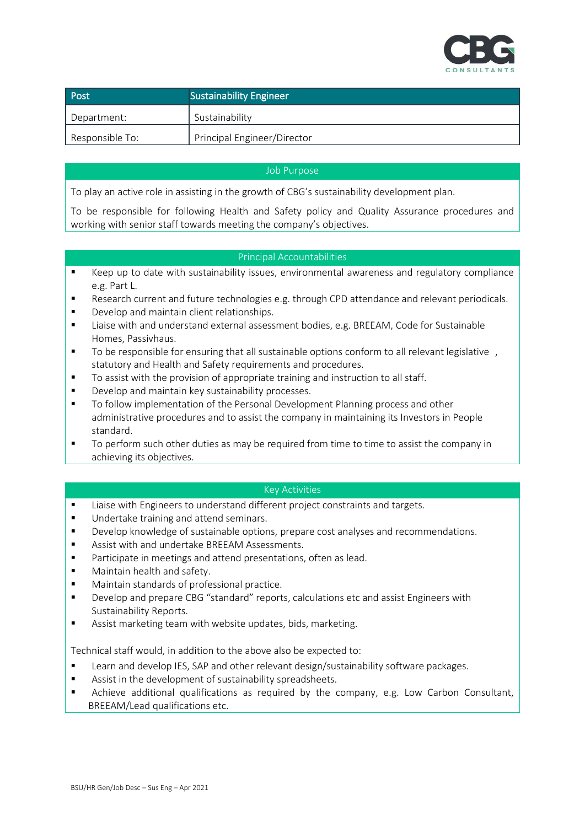

| Post            | <b>Sustainability Engineer</b> |
|-----------------|--------------------------------|
| Department:     | Sustainability                 |
| Responsible To: | Principal Engineer/Director    |

## Job Purpose

To play an active role in assisting in the growth of CBG's sustainability development plan.

To be responsible for following Health and Safety policy and Quality Assurance procedures and working with senior staff towards meeting the company's objectives.

## Principal Accountabilities

- Keep up to date with sustainability issues, environmental awareness and regulatory compliance e.g. Part L.
- Research current and future technologies e.g. through CPD attendance and relevant periodicals.
- Develop and maintain client relationships.
- Liaise with and understand external assessment bodies, e.g. BREEAM, Code for Sustainable Homes, Passivhaus.
- To be responsible for ensuring that all sustainable options conform to all relevant legislative , statutory and Health and Safety requirements and procedures.
- To assist with the provision of appropriate training and instruction to all staff.
- Develop and maintain key sustainability processes.
- To follow implementation of the Personal Development Planning process and other administrative procedures and to assist the company in maintaining its Investors in People standard.
- To perform such other duties as may be required from time to time to assist the company in achieving its objectives.

## Key Activities

- Liaise with Engineers to understand different project constraints and targets.
- Undertake training and attend seminars.
- Develop knowledge of sustainable options, prepare cost analyses and recommendations.
- Assist with and undertake BREEAM Assessments.
- Participate in meetings and attend presentations, often as lead.
- Maintain health and safety.
- Maintain standards of professional practice.
- Develop and prepare CBG "standard" reports, calculations etc and assist Engineers with Sustainability Reports.
- Assist marketing team with website updates, bids, marketing.

Technical staff would, in addition to the above also be expected to:

- Learn and develop IES, SAP and other relevant design/sustainability software packages.
- Assist in the development of sustainability spreadsheets.
- Achieve additional qualifications as required by the company, e.g. Low Carbon Consultant, BREEAM/Lead qualifications etc.